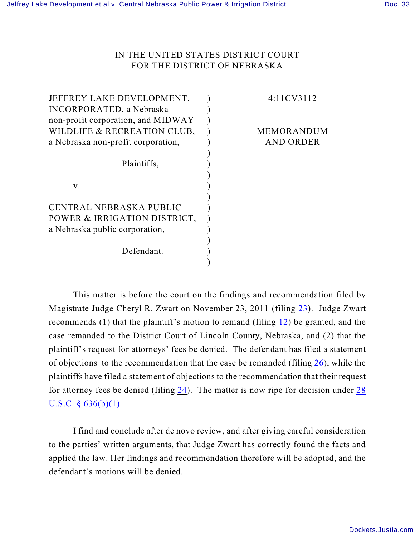## IN THE UNITED STATES DISTRICT COURT FOR THE DISTRICT OF NEBRASKA

| JEFFREY LAKE DEVELOPMENT,          | 4:11CV3112       |
|------------------------------------|------------------|
| <b>INCORPORATED, a Nebraska</b>    |                  |
| non-profit corporation, and MIDWAY |                  |
| WILDLIFE & RECREATION CLUB,        | MEMORANDUM       |
| a Nebraska non-profit corporation, | <b>AND ORDER</b> |
|                                    |                  |
| Plaintiffs,                        |                  |
|                                    |                  |
| V.                                 |                  |
|                                    |                  |
| CENTRAL NEBRASKA PUBLIC            |                  |
| POWER & IRRIGATION DISTRICT,       |                  |
| a Nebraska public corporation,     |                  |
|                                    |                  |
| Defendant.                         |                  |
|                                    |                  |
|                                    |                  |

This matter is before the court on the findings and recommendation filed by Magistrate Judge Cheryl R. Zwart on November 23, 2011 (filing [23](https://ecf.ned.uscourts.gov/doc1/11312406420)). Judge Zwart recommends (1) that the plaintiff's motion to remand (filing [12](https://ecf.ned.uscourts.gov/doc1/11312336318)) be granted, and the case remanded to the District Court of Lincoln County, Nebraska, and (2) that the plaintiff's request for attorneys' fees be denied. The defendant has filed a statement of objections to the recommendation that the case be remanded (filing [26](https://ecf.ned.uscourts.gov/doc1/11312415046)), while the plaintiffs have filed a statement of objections to the recommendation that their request for attorney fees be denied (filing [24](https://ecf.ned.uscourts.gov/doc1/11312414258)). The matter is now ripe for decision under [28](https://web2.westlaw.com/find/default.wl?rs=WLW10.05&ifm=NotSet&fn=_top&sv=Split&cite=28usc636&vr=2.0&rp=%2ffind%2fdefault.wl&mt=Westlaw) U.S.C.  $\S$  636(b)(1).

I find and conclude after de novo review, and after giving careful consideration to the parties' written arguments, that Judge Zwart has correctly found the facts and applied the law. Her findings and recommendation therefore will be adopted, and the defendant's motions will be denied.